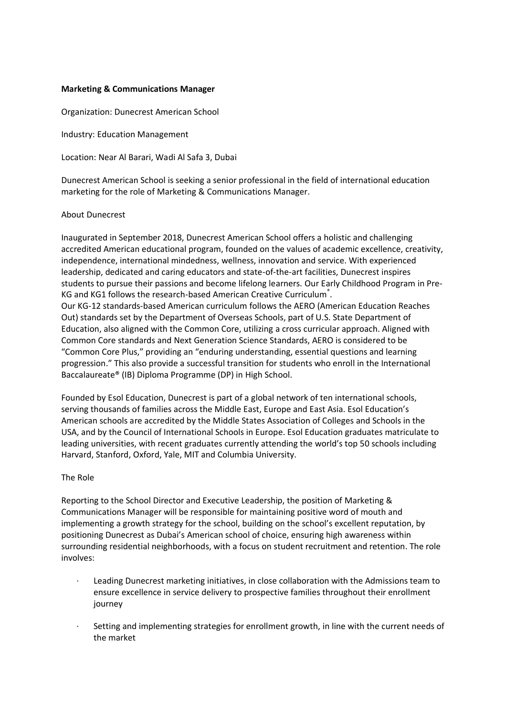# **Marketing & Communications Manager**

Organization: Dunecrest American School

Industry: Education Management

Location: Near Al Barari, Wadi Al Safa 3, Dubai

Dunecrest American School is seeking a senior professional in the field of international education marketing for the role of Marketing & Communications Manager.

### About Dunecrest

Inaugurated in September 2018, Dunecrest American School offers a holistic and challenging accredited American educational program, founded on the values of academic excellence, creativity, independence, international mindedness, wellness, innovation and service. With experienced leadership, dedicated and caring educators and state-of-the-art facilities, Dunecrest inspires students to pursue their passions and become lifelong learners. Our Early Childhood Program in Pre-KG and KG1 follows the research-based American Creative Curriculum $\degree$ . Our KG-12 standards-based American curriculum follows the AERO (American Education Reaches Out) standards set by the Department of Overseas Schools, part of U.S. State Department of Education, also aligned with the Common Core, utilizing a cross curricular approach. Aligned with Common Core standards and Next Generation Science Standards, AERO is considered to be "Common Core Plus," providing an "enduring understanding, essential questions and learning progression." This also provide a successful transition for students who enroll in the International Baccalaureate® (IB) Diploma Programme (DP) in High School.

Founded by Esol Education, Dunecrest is part of a global network of ten international schools, serving thousands of families across the Middle East, Europe and East Asia. Esol Education's American schools are accredited by the Middle States Association of Colleges and Schools in the USA, and by the Council of International Schools in Europe. Esol Education graduates matriculate to leading universities, with recent graduates currently attending the world's top 50 schools including Harvard, Stanford, Oxford, Yale, MIT and Columbia University.

# The Role

Reporting to the School Director and Executive Leadership, the position of Marketing & Communications Manager will be responsible for maintaining positive word of mouth and implementing a growth strategy for the school, building on the school's excellent reputation, by positioning Dunecrest as Dubai's American school of choice, ensuring high awareness within surrounding residential neighborhoods, with a focus on student recruitment and retention. The role involves:

- Leading Dunecrest marketing initiatives, in close collaboration with the Admissions team to ensure excellence in service delivery to prospective families throughout their enrollment journey
- Setting and implementing strategies for enrollment growth, in line with the current needs of the market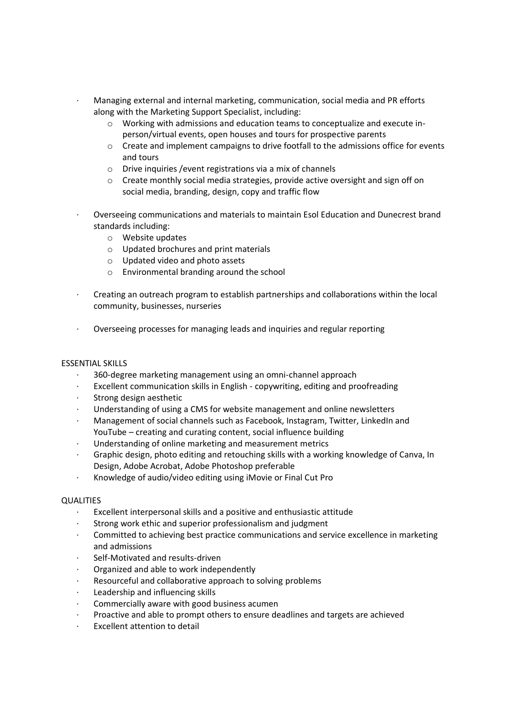- · Managing external and internal marketing, communication, social media and PR efforts along with the Marketing Support Specialist, including:
	- o Working with admissions and education teams to conceptualize and execute inperson/virtual events, open houses and tours for prospective parents
	- $\circ$  Create and implement campaigns to drive footfall to the admissions office for events and tours
	- o Drive inquiries /event registrations via a mix of channels
	- o Create monthly social media strategies, provide active oversight and sign off on social media, branding, design, copy and traffic flow
- · Overseeing communications and materials to maintain Esol Education and Dunecrest brand standards including:
	- o Website updates
	- o Updated brochures and print materials
	- o Updated video and photo assets
	- o Environmental branding around the school
- · Creating an outreach program to establish partnerships and collaborations within the local community, businesses, nurseries
- · Overseeing processes for managing leads and inquiries and regular reporting

# ESSENTIAL SKILLS

- · 360-degree marketing management using an omni-channel approach
- Excellent communication skills in English copywriting, editing and proofreading
- Strong design aesthetic
- Understanding of using a CMS for website management and online newsletters
- · Management of social channels such as Facebook, Instagram, Twitter, LinkedIn and YouTube – creating and curating content, social influence building
- · Understanding of online marketing and measurement metrics
- · Graphic design, photo editing and retouching skills with a working knowledge of Canva, In Design, Adobe Acrobat, Adobe Photoshop preferable
- · Knowledge of audio/video editing using iMovie or Final Cut Pro

### **QUALITIES**

- Excellent interpersonal skills and a positive and enthusiastic attitude
- Strong work ethic and superior professionalism and judgment
- · Committed to achieving best practice communications and service excellence in marketing and admissions
- Self-Motivated and results-driven
- Organized and able to work independently
- Resourceful and collaborative approach to solving problems
- Leadership and influencing skills
- Commercially aware with good business acumen
- Proactive and able to prompt others to ensure deadlines and targets are achieved
- Excellent attention to detail